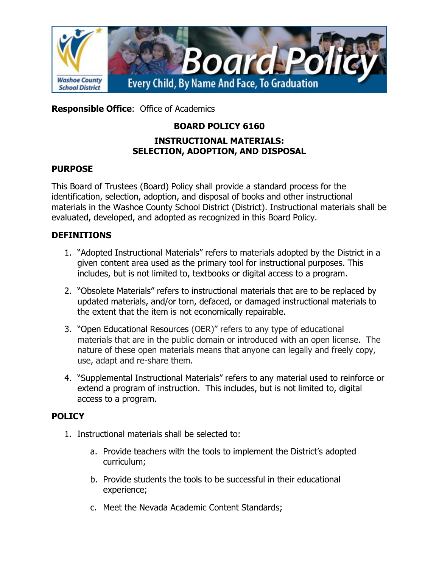

**Responsible Office**: Office of Academics

# **BOARD POLICY 6160**

#### **INSTRUCTIONAL MATERIALS: SELECTION, ADOPTION, AND DISPOSAL**

## **PURPOSE**

This Board of Trustees (Board) Policy shall provide a standard process for the identification, selection, adoption, and disposal of books and other instructional materials in the Washoe County School District (District). Instructional materials shall be evaluated, developed, and adopted as recognized in this Board Policy.

## **DEFINITIONS**

- 1. "Adopted Instructional Materials" refers to materials adopted by the District in a given content area used as the primary tool for instructional purposes. This includes, but is not limited to, textbooks or digital access to a program.
- 2. "Obsolete Materials" refers to instructional materials that are to be replaced by updated materials, and/or torn, defaced, or damaged instructional materials to the extent that the item is not economically repairable.
- 3. "Open Educational Resources (OER)" refers to any type of educational materials that are in the public domain or introduced with an open license. The nature of these open materials means that anyone can legally and freely copy, use, adapt and re-share them.
- 4. "Supplemental Instructional Materials" refers to any material used to reinforce or extend a program of instruction. This includes, but is not limited to, digital access to a program.

#### **POLICY**

- 1. Instructional materials shall be selected to:
	- a. Provide teachers with the tools to implement the District's adopted curriculum;
	- b. Provide students the tools to be successful in their educational experience;
	- c. Meet the Nevada Academic Content Standards;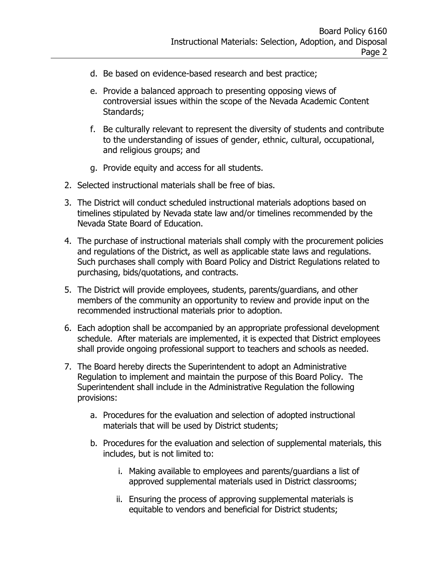- d. Be based on evidence-based research and best practice;
- e. Provide a balanced approach to presenting opposing views of controversial issues within the scope of the Nevada Academic Content Standards;
- f. Be culturally relevant to represent the diversity of students and contribute to the understanding of issues of gender, ethnic, cultural, occupational, and religious groups; and
- g. Provide equity and access for all students.
- 2. Selected instructional materials shall be free of bias.
- 3. The District will conduct scheduled instructional materials adoptions based on timelines stipulated by Nevada state law and/or timelines recommended by the Nevada State Board of Education.
- 4. The purchase of instructional materials shall comply with the procurement policies and regulations of the District, as well as applicable state laws and regulations. Such purchases shall comply with Board Policy and District Regulations related to purchasing, bids/quotations, and contracts.
- 5. The District will provide employees, students, parents/guardians, and other members of the community an opportunity to review and provide input on the recommended instructional materials prior to adoption.
- 6. Each adoption shall be accompanied by an appropriate professional development schedule. After materials are implemented, it is expected that District employees shall provide ongoing professional support to teachers and schools as needed.
- 7. The Board hereby directs the Superintendent to adopt an Administrative Regulation to implement and maintain the purpose of this Board Policy. The Superintendent shall include in the Administrative Regulation the following provisions:
	- a. Procedures for the evaluation and selection of adopted instructional materials that will be used by District students;
	- b. Procedures for the evaluation and selection of supplemental materials, this includes, but is not limited to:
		- i. Making available to employees and parents/guardians a list of approved supplemental materials used in District classrooms;
		- ii. Ensuring the process of approving supplemental materials is equitable to vendors and beneficial for District students;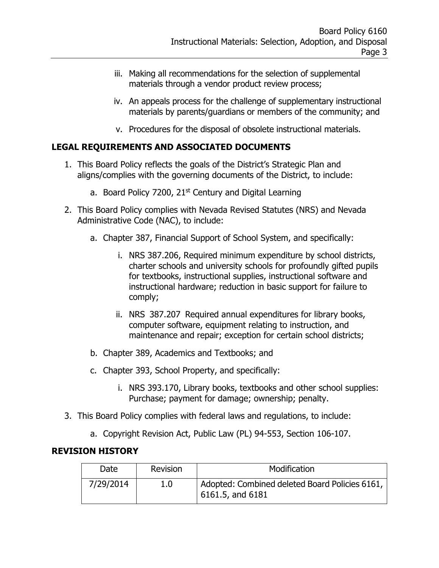- iii. Making all recommendations for the selection of supplemental materials through a vendor product review process;
- iv. An appeals process for the challenge of supplementary instructional materials by parents/guardians or members of the community; and
- v. Procedures for the disposal of obsolete instructional materials.

## **LEGAL REQUIREMENTS AND ASSOCIATED DOCUMENTS**

- 1. This Board Policy reflects the goals of the District's Strategic Plan and aligns/complies with the governing documents of the District, to include:
	- a. Board Policy 7200, 21<sup>st</sup> Century and Digital Learning
- 2. This Board Policy complies with Nevada Revised Statutes (NRS) and Nevada Administrative Code (NAC), to include:
	- a. [Chapter 387,](http://www.leg.state.nv.us/NRS/NRS-387.html) Financial Support of School System, and specifically:
		- i. [NRS 387.206,](http://www.leg.state.nv.us/NRS/NRS-387.html#NRS387Sec206) Required minimum expenditure by school districts, charter schools and university schools for profoundly gifted pupils for textbooks, instructional supplies, instructional software and instructional hardware; reduction in basic support for failure to comply;
		- ii. NRS 387.207 Required annual expenditures for library books, computer software, equipment relating to instruction, and maintenance and repair; exception for certain school districts;
	- b. Chapter 389, Academics and Textbooks; and
	- c. Chapter 393, School Property, and specifically:
		- i. NRS 393.170, Library books, textbooks and other school supplies: Purchase; payment for damage; ownership; penalty.
- 3. This Board Policy complies with federal laws and regulations, to include:
	- a. Copyright Revision Act, Public Law (PL) 94-553, Section 106-107.

#### **REVISION HISTORY**

| Date      | Revision | Modification                                                           |
|-----------|----------|------------------------------------------------------------------------|
| 7/29/2014 | 1.0      | Adopted: Combined deleted Board Policies 6161,<br>$16161.5$ , and 6181 |